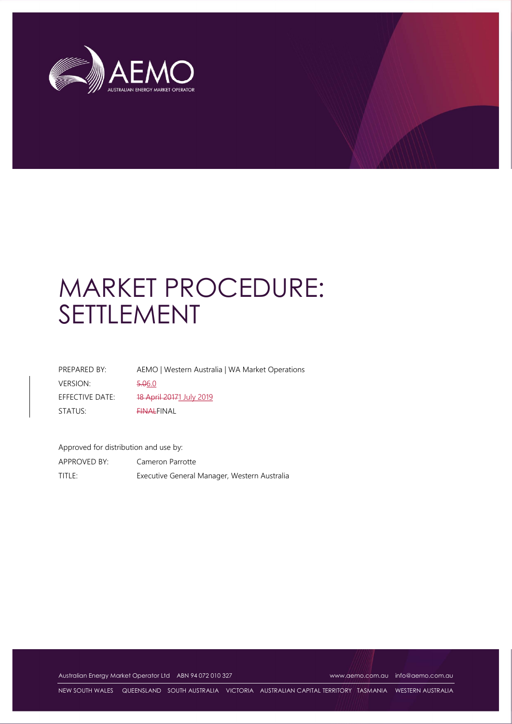

# MARKET PROCEDURE: SETTLEMENT

| PREPARED BY:    | AEMO   Western Australia   WA Market Operations |
|-----------------|-------------------------------------------------|
| <b>VERSION:</b> | 5.06.0                                          |
| EFFECTIVE DATE: | 18 April 20171 July 2019                        |
| STATUS:         | <b>EINALFINAL</b>                               |

Approved for distribution and use by:

APPROVED BY: Cameron Parrotte TITLE: Executive General Manager, Western Australia

Australian Energy Market Operator Ltd ABN 94 072 010 327 www.aemo.com.au info@aemo.com.au info@aemo.com.au

NEW SOUTH WALES QUEENSLAND SOUTH AUSTRALIA VICTORIA AUSTRALIAN CAPITAL TERRITORY TASMANIA WESTERN AUSTRALIA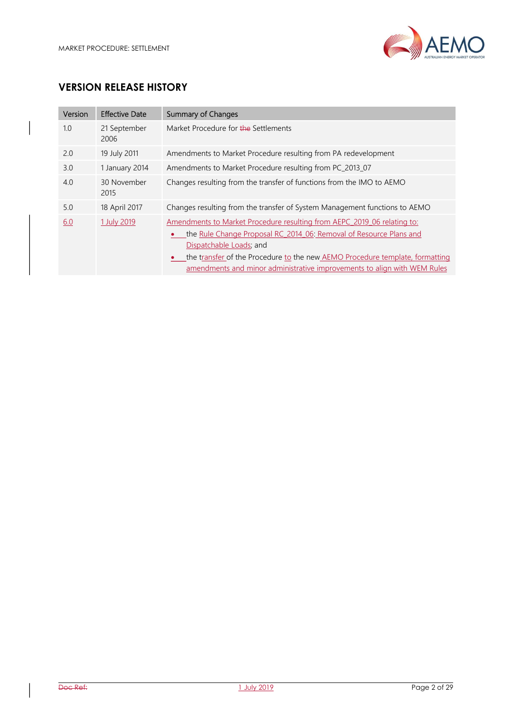

# VERSION RELEASE HISTORY

| Version | <b>Effective Date</b> | Summary of Changes                                                                                                                                                                                                                                                                                                                   |  |
|---------|-----------------------|--------------------------------------------------------------------------------------------------------------------------------------------------------------------------------------------------------------------------------------------------------------------------------------------------------------------------------------|--|
| 1.0     | 21 September<br>2006  | Market Procedure for the Settlements                                                                                                                                                                                                                                                                                                 |  |
| 2.0     | 19 July 2011          | Amendments to Market Procedure resulting from PA redevelopment                                                                                                                                                                                                                                                                       |  |
| 3.0     | 1 January 2014        | Amendments to Market Procedure resulting from PC_2013_07                                                                                                                                                                                                                                                                             |  |
| 4.0     | 30 November<br>2015   | Changes resulting from the transfer of functions from the IMO to AEMO                                                                                                                                                                                                                                                                |  |
| 5.0     | 18 April 2017         | Changes resulting from the transfer of System Management functions to AEMO                                                                                                                                                                                                                                                           |  |
| 6.0     | 1 July 2019           | Amendments to Market Procedure resulting from AEPC 2019 06 relating to:<br>the Rule Change Proposal RC 2014 06: Removal of Resource Plans and<br>Dispatchable Loads; and<br>the transfer of the Procedure to the new AEMO Procedure template, formatting<br>amendments and minor administrative improvements to align with WEM Rules |  |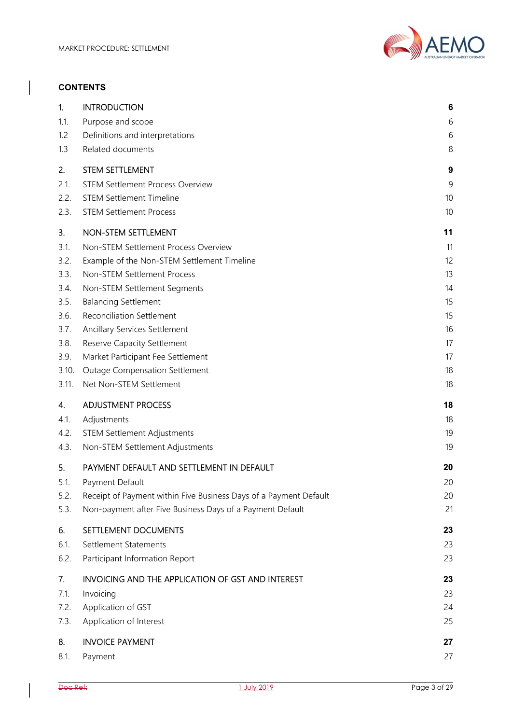

#### **CONTENTS**

| 1.    | <b>INTRODUCTION</b>                                               | 6  |
|-------|-------------------------------------------------------------------|----|
| 1.1.  | Purpose and scope                                                 | 6  |
| 1.2   | Definitions and interpretations                                   | 6  |
| 1.3   | Related documents                                                 | 8  |
| 2.    | <b>STEM SETTLEMENT</b>                                            | 9  |
| 2.1.  | <b>STEM Settlement Process Overview</b>                           | 9  |
| 2.2.  | <b>STEM Settlement Timeline</b>                                   | 10 |
| 2.3.  | <b>STEM Settlement Process</b>                                    | 10 |
| 3.    | NON-STEM SETTLEMENT                                               | 11 |
| 3.1.  | Non-STEM Settlement Process Overview                              | 11 |
| 3.2.  | Example of the Non-STEM Settlement Timeline                       | 12 |
| 3.3.  | Non-STEM Settlement Process                                       | 13 |
| 3.4.  | Non-STEM Settlement Segments                                      | 14 |
| 3.5.  | <b>Balancing Settlement</b>                                       | 15 |
| 3.6.  | <b>Reconciliation Settlement</b>                                  | 15 |
| 3.7.  | <b>Ancillary Services Settlement</b>                              | 16 |
| 3.8.  | Reserve Capacity Settlement                                       | 17 |
| 3.9.  | Market Participant Fee Settlement                                 | 17 |
| 3.10. | <b>Outage Compensation Settlement</b>                             | 18 |
| 3.11. | Net Non-STEM Settlement                                           | 18 |
| 4.    | <b>ADJUSTMENT PROCESS</b>                                         | 18 |
| 4.1.  | Adjustments                                                       | 18 |
| 4.2.  | <b>STEM Settlement Adjustments</b>                                | 19 |
| 4.3.  | Non-STEM Settlement Adjustments                                   | 19 |
| 5.    | PAYMENT DEFAULT AND SETTLEMENT IN DEFAULT                         | 20 |
| 5.1.  | Payment Default                                                   | 20 |
| 5.2.  | Receipt of Payment within Five Business Days of a Payment Default | 20 |
| 5.3.  | Non-payment after Five Business Days of a Payment Default         | 21 |
| 6.    | SETTLEMENT DOCUMENTS                                              | 23 |
| 6.1.  | Settlement Statements                                             | 23 |
| 6.2.  | Participant Information Report                                    | 23 |
| 7.    | INVOICING AND THE APPLICATION OF GST AND INTEREST                 | 23 |
| 7.1.  | Invoicing                                                         | 23 |
| 7.2.  | Application of GST                                                | 24 |
| 7.3.  | Application of Interest                                           | 25 |
| 8.    | <b>INVOICE PAYMENT</b>                                            | 27 |
| 8.1.  | Payment                                                           | 27 |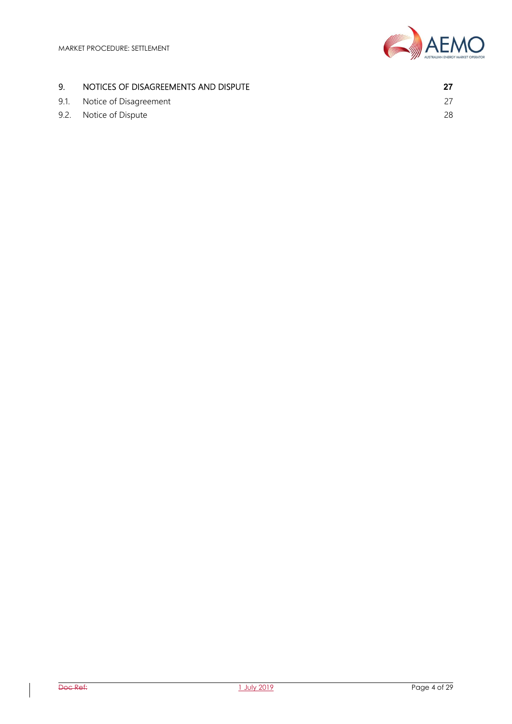

## 9. NOTICES OF DISAGREEMENTS AND DISPUTE **27**

9.1. Notice of Disagreement 27 9.2. Notice of Dispute 28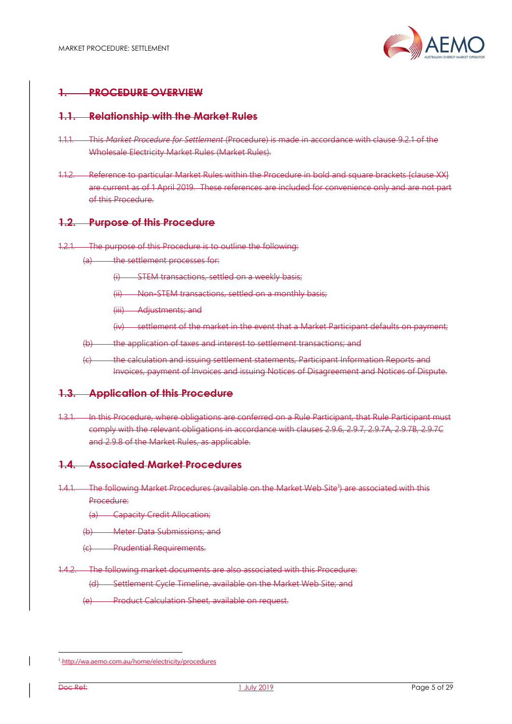

# 1. PROCEDURE OVERVIEW

#### 1.1. Relationship with the Market Rules

- 1.1.1. This Market Procedure for Settlement (Procedure) is made in accordance with clause 9.2.1 of the Wholesale Electricity Market Rules (Market Rules).
- 1.1.2. Reference to particular Market Rules within the Procedure in bold and square brackets [clause XX] are current as of 1 April 2019. These references are included for convenience only and are not part of this Procedure.

#### 1.2. Purpose of this Procedure

- 1.2.1. The purpose of this Procedure is to outline the following:
	- (a) the settlement processes for:
		- (i) STEM transactions, settled on a weekly basis;
		- (ii) Non-STEM transactions, settled on a monthly basis;
		- (iii) Adjustments; and
		- (iv) settlement of the market in the event that a Market Participant defaults on payment;
	- (b) the application of taxes and interest to settlement transactions; and
	- (c) the calculation and issuing settlement statements, Participant Information Reports and Invoices, payment of Invoices and issuing Notices of Disagreement and Notices of Dispute.

#### 1.3. Application of this Procedure

1.3.1. In this Procedure, where obligations are conferred on a Rule Participant, that Rule Participant must comply with the relevant obligations in accordance with clauses 2.9.6, 2.9.7, 2.9.7A, 2.9.7B, 2.9.7C and 2.9.8 of the Market Rules, as applicable.

#### 1.4. Associated Market Procedures

1.4.1. The following Market Procedures (available on the Market Web Site<sup>1</sup>) are associated with this Procedure:

(a) Capacity Credit Allocation;

(b) Meter Data Submissions; and

(c) Prudential Requirements.

1.4.2. The following market documents are also associated with this Procedure:

(d) Settlement Cycle Timeline, available on the Market Web Site; and

(e) Product Calculation Sheet, available on request.

l

<sup>1</sup> http://wa.aemo.com.au/home/electricity/procedures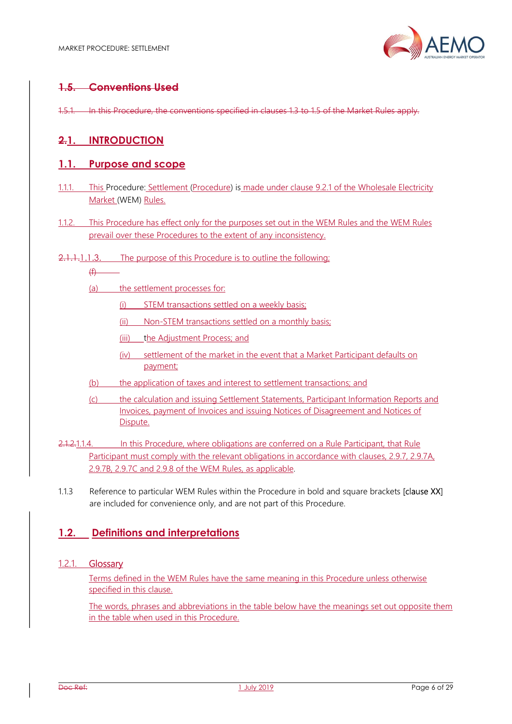

# 1.5. Conventions Used

1.5.1. In this Procedure, the conventions specified in clauses 1.3 to 1.5 of the Market Rules apply.

## 2.1. INTRODUCTION

## 1.1. Purpose and scope

- 1.1.1. This Procedure: Settlement (Procedure) is made under clause 9.2.1 of the Wholesale Electricity Market (WEM) Rules.
- 1.1.2. This Procedure has effect only for the purposes set out in the WEM Rules and the WEM Rules prevail over these Procedures to the extent of any inconsistency.
- 2.1.1.1.1.3. The purpose of this Procedure is to outline the following;

 $(f)$ 

- (a) the settlement processes for:
	- (i) STEM transactions settled on a weekly basis;
	- (ii) Non-STEM transactions settled on a monthly basis;
	- (iii) the Adjustment Process; and
	- (iv) settlement of the market in the event that a Market Participant defaults on payment;
- (b) the application of taxes and interest to settlement transactions; and
- (c) the calculation and issuing Settlement Statements, Participant Information Reports and Invoices, payment of Invoices and issuing Notices of Disagreement and Notices of **Dispute**
- 2.1.2.1.1.4. In this Procedure, where obligations are conferred on a Rule Participant, that Rule Participant must comply with the relevant obligations in accordance with clauses, 2.9.7, 2.9.7A, 2.9.7B, 2.9.7C and 2.9.8 of the WEM Rules, as applicable.
- 1.1.3 Reference to particular WEM Rules within the Procedure in bold and square brackets [clause XX] are included for convenience only, and are not part of this Procedure.

## 1.2. Definitions and interpretations

#### 1.2.1. Glossary

Terms defined in the WEM Rules have the same meaning in this Procedure unless otherwise specified in this clause.

The words, phrases and abbreviations in the table below have the meanings set out opposite them in the table when used in this Procedure.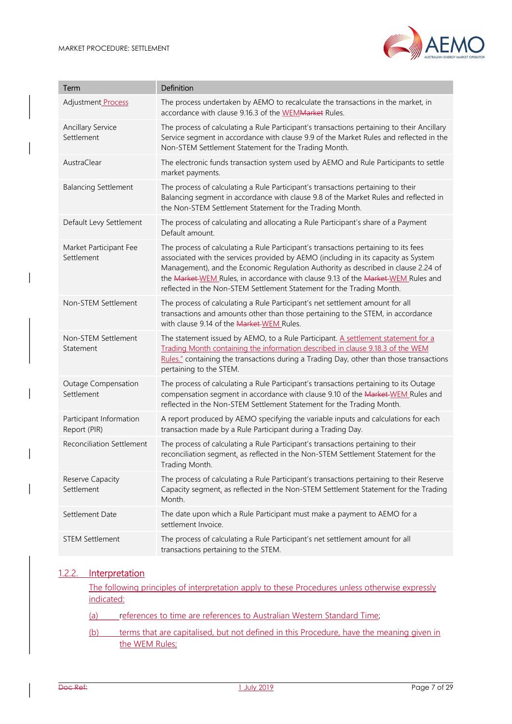

| Term                                    | Definition                                                                                                                                                                                                                                                                                                                                                                                                                  |
|-----------------------------------------|-----------------------------------------------------------------------------------------------------------------------------------------------------------------------------------------------------------------------------------------------------------------------------------------------------------------------------------------------------------------------------------------------------------------------------|
| Adjustment Process                      | The process undertaken by AEMO to recalculate the transactions in the market, in<br>accordance with clause 9.16.3 of the WEMMarket Rules.                                                                                                                                                                                                                                                                                   |
| <b>Ancillary Service</b><br>Settlement  | The process of calculating a Rule Participant's transactions pertaining to their Ancillary<br>Service segment in accordance with clause 9.9 of the Market Rules and reflected in the<br>Non-STEM Settlement Statement for the Trading Month.                                                                                                                                                                                |
| AustraClear                             | The electronic funds transaction system used by AEMO and Rule Participants to settle<br>market payments.                                                                                                                                                                                                                                                                                                                    |
| <b>Balancing Settlement</b>             | The process of calculating a Rule Participant's transactions pertaining to their<br>Balancing segment in accordance with clause 9.8 of the Market Rules and reflected in<br>the Non-STEM Settlement Statement for the Trading Month.                                                                                                                                                                                        |
| Default Levy Settlement                 | The process of calculating and allocating a Rule Participant's share of a Payment<br>Default amount.                                                                                                                                                                                                                                                                                                                        |
| Market Participant Fee<br>Settlement    | The process of calculating a Rule Participant's transactions pertaining to its fees<br>associated with the services provided by AEMO (including in its capacity as System<br>Management), and the Economic Regulation Authority as described in clause 2.24 of<br>the Market-WEM Rules, in accordance with clause 9.13 of the Market-WEM Rules and<br>reflected in the Non-STEM Settlement Statement for the Trading Month. |
| Non-STEM Settlement                     | The process of calculating a Rule Participant's net settlement amount for all<br>transactions and amounts other than those pertaining to the STEM, in accordance<br>with clause 9.14 of the Market-WEM Rules.                                                                                                                                                                                                               |
| Non-STEM Settlement<br>Statement        | The statement issued by AEMO, to a Rule Participant. A settlement statement for a<br>Trading Month containing the information described in clause 9.18.3 of the WEM<br>Rules." containing the transactions during a Trading Day, other than those transactions<br>pertaining to the STEM.                                                                                                                                   |
| Outage Compensation<br>Settlement       | The process of calculating a Rule Participant's transactions pertaining to its Outage<br>compensation segment in accordance with clause 9.10 of the Market-WEM Rules and<br>reflected in the Non-STEM Settlement Statement for the Trading Month.                                                                                                                                                                           |
| Participant Information<br>Report (PIR) | A report produced by AEMO specifying the variable inputs and calculations for each<br>transaction made by a Rule Participant during a Trading Day.                                                                                                                                                                                                                                                                          |
| <b>Reconciliation Settlement</b>        | The process of calculating a Rule Participant's transactions pertaining to their<br>reconciliation segment, as reflected in the Non-STEM Settlement Statement for the<br>Trading Month.                                                                                                                                                                                                                                     |
| Reserve Capacity<br>Settlement          | The process of calculating a Rule Participant's transactions pertaining to their Reserve<br>Capacity segment, as reflected in the Non-STEM Settlement Statement for the Trading<br>Month.                                                                                                                                                                                                                                   |
| Settlement Date                         | The date upon which a Rule Participant must make a payment to AEMO for a<br>settlement Invoice.                                                                                                                                                                                                                                                                                                                             |
| <b>STEM Settlement</b>                  | The process of calculating a Rule Participant's net settlement amount for all<br>transactions pertaining to the STEM.                                                                                                                                                                                                                                                                                                       |

#### 1.2.2. Interpretation

The following principles of interpretation apply to these Procedures unless otherwise expressly indicated:

- (a) references to time are references to Australian Western Standard Time;
- (b) terms that are capitalised, but not defined in this Procedure, have the meaning given in the WEM Rules;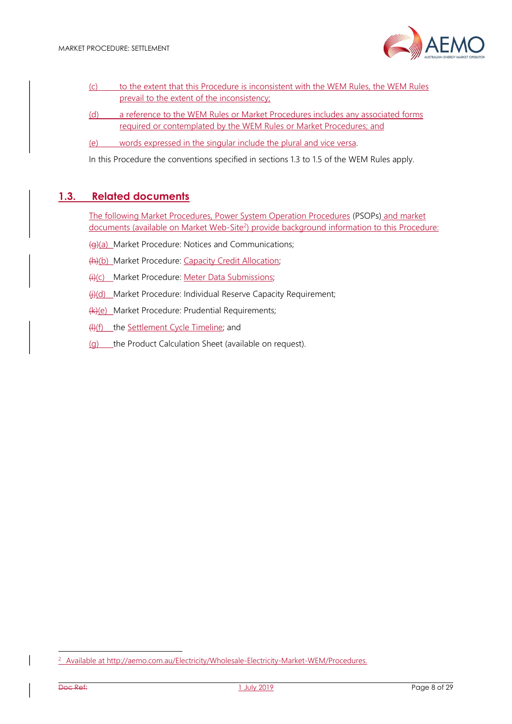

- (c) to the extent that this Procedure is inconsistent with the WEM Rules, the WEM Rules prevail to the extent of the inconsistency;
- (d) a reference to the WEM Rules or Market Procedures includes any associated forms required or contemplated by the WEM Rules or Market Procedures; and
- (e) words expressed in the singular include the plural and vice versa.

In this Procedure the conventions specified in sections 1.3 to 1.5 of the WEM Rules apply.

## 1.3. Related documents

The following Market Procedures, Power System Operation Procedures (PSOPs) and market documents (available on Market Web-Site<sup>2</sup>) provide background information to this Procedure:

- (g)(a) Market Procedure: Notices and Communications;
- (h)(b) Market Procedure: Capacity Credit Allocation;
- (i)(c) Market Procedure: Meter Data Submissions;
- (i)(d) Market Procedure: Individual Reserve Capacity Requirement;
- (k)(e) Market Procedure: Prudential Requirements;
- (l)(f) the Settlement Cycle Timeline; and
- (g) the Product Calculation Sheet (available on request).

-

<sup>&</sup>lt;sup>2</sup> Available at http://aemo.com.au/Electricity/Wholesale-Electricity-Market-WEM/Procedures.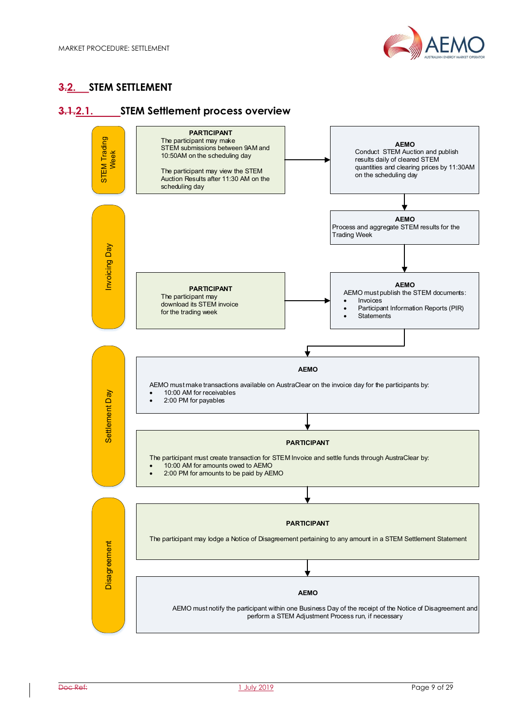

# **3.2. STEM SETTLEMENT**

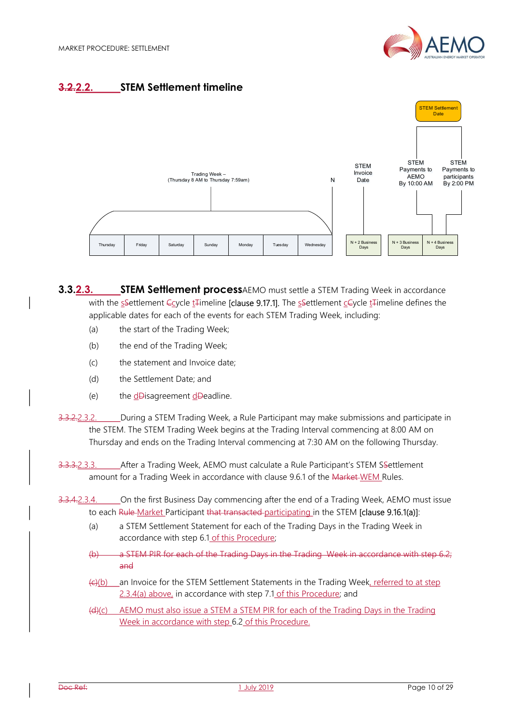

# 3.2.2.2. STEM Settlement timeline



**3.3.2.3. STEM Settlement process**AEMO must settle a STEM Trading Week in accordance with the sSettlement Coycle ta Timeline [clause 9.17.1]. The sSettlement cCycle ta Timeline defines the applicable dates for each of the events for each STEM Trading Week, including:

- (a) the start of the Trading Week;
- (b) the end of the Trading Week;
- (c) the statement and Invoice date;
- (d) the Settlement Date; and
- $(e)$  the d $\theta$ isagreement d $\theta$ eadline.

3.3.2.2.3.2. During a STEM Trading Week, a Rule Participant may make submissions and participate in the STEM. The STEM Trading Week begins at the Trading Interval commencing at 8:00 AM on Thursday and ends on the Trading Interval commencing at 7:30 AM on the following Thursday.

3.3.3.2.3.3. After a Trading Week, AEMO must calculate a Rule Participant's STEM SSettlement amount for a Trading Week in accordance with clause 9.6.1 of the Market WEM Rules.

- 3.3.4.2.3.4. On the first Business Day commencing after the end of a Trading Week, AEMO must issue to each Rule Market Participant that transacted participating in the STEM [clause 9.16.1(a)]:
	- (a) a STEM Settlement Statement for each of the Trading Days in the Trading Week in accordance with step 6.1 of this Procedure;
	- (b) a STEM PIR for each of the Trading Days in the Trading Week in accordance with step 6.2; and
	- $(c)(b)$  an Invoice for the STEM Settlement Statements in the Trading Week, referred to at step 2.3.4(a) above, in accordance with step 7.1 of this Procedure; and
	- (d)(c) AEMO must also issue a STEM a STEM PIR for each of the Trading Days in the Trading Week in accordance with step 6.2 of this Procedure.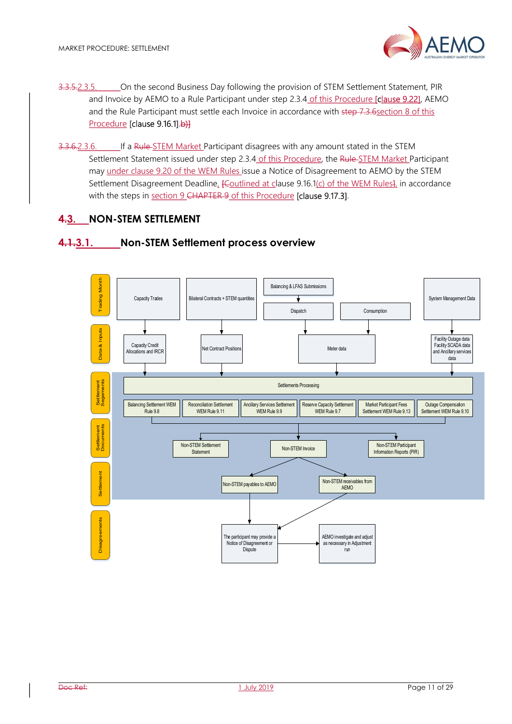- 3.3.5.2.3.5. On the second Business Day following the provision of STEM Settlement Statement, PIR and Invoice by AEMO to a Rule Participant under step 2.3.4 of this Procedure [clause 9.22], AEMO and the Rule Participant must settle each Invoice in accordance with step 7.3.6section 8 of this Procedure [clause 9.16.1].b)]
- 3.3.6.2.3.6. If a Rule-STEM Market Participant disagrees with any amount stated in the STEM Settlement Statement issued under step 2.3.4 of this Procedure, the Rule STEM Market Participant may under clause 9.20 of the WEM Rules issue a Notice of Disagreement to AEMO by the STEM Settlement Disagreement Deadline, *[Coutlined at clause 9.16.1(c) of the WEM Rules]*, in accordance with the steps in section 9 CHAPTER 9 of this Procedure **[clause 9.17.3]**.

# 4.3. NON-STEM SETTLEMENT

## 4.1.3.1. Non-STEM Settlement process overview

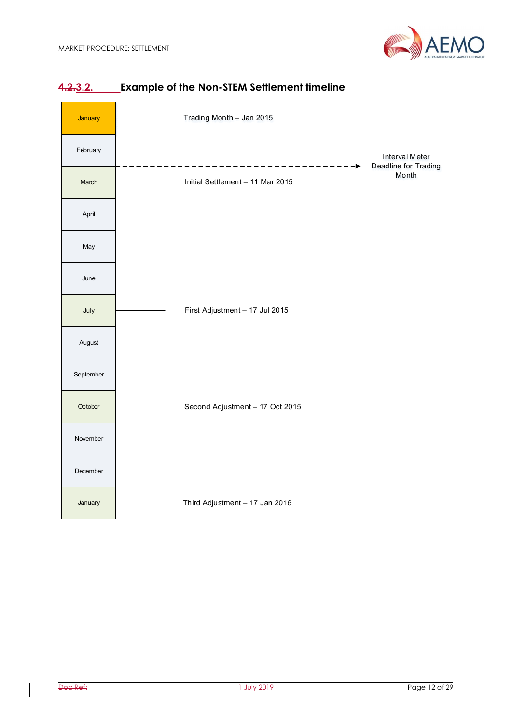



# 4.2.3.2. Example of the Non-STEM Settlement timeline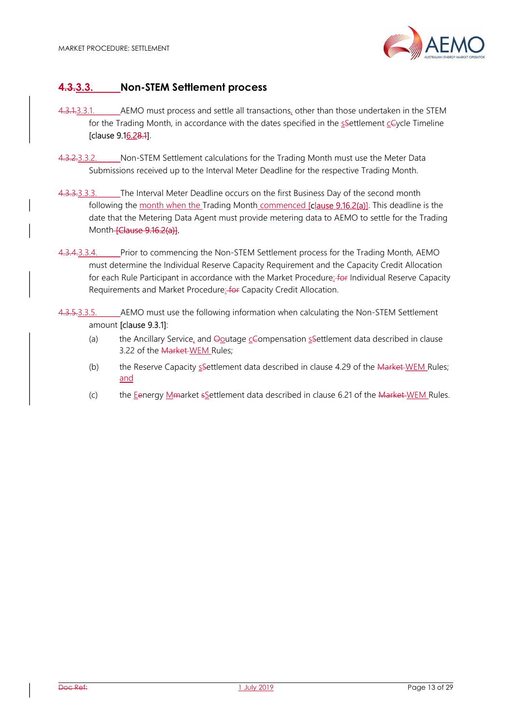

# 4.3.3.3. Non-STEM Settlement process

- 4.3.1.3.3.1. AEMO must process and settle all transactions, other than those undertaken in the STEM for the Trading Month, in accordance with the dates specified in the  $s$ Settlement  $c\in\gamma$ cle Timeline [clause 9.16.28.1].
- 4.3.2.3.3.2. Non-STEM Settlement calculations for the Trading Month must use the Meter Data Submissions received up to the Interval Meter Deadline for the respective Trading Month.
- 4.3.3.3.3.3. The Interval Meter Deadline occurs on the first Business Day of the second month following the month when the Trading Month commenced **[clause 9.16.2(a)]**. This deadline is the date that the Metering Data Agent must provide metering data to AEMO to settle for the Trading Month-**[Clause 9.16.2(a)]**.
- 4.3.4.3.3.4. Prior to commencing the Non-STEM Settlement process for the Trading Month, AEMO must determine the Individual Reserve Capacity Requirement and the Capacity Credit Allocation for each Rule Participant in accordance with the Market Procedure: for Individual Reserve Capacity Requirements and Market Procedure: for Capacity Credit Allocation.
- 4.3.5.3.3.5. AEMO must use the following information when calculating the Non-STEM Settlement amount [clause 9.3.1]:
	- (a) the Ancillary Service, and  $\Theta$ outage  $\epsilon$ Compensation sSettlement data described in clause 3.22 of the Market WEM Rules;
	- (b) the Reserve Capacity  $s$ Settlement data described in clause 4.29 of the Market WEM Rules; and
	- (c) the Eenergy Mmarket sSettlement data described in clause 6.21 of the Market WEM Rules.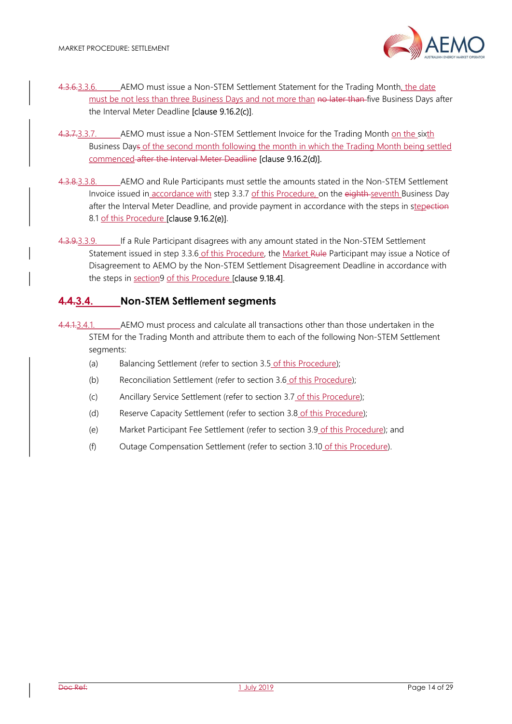

- 4.3.6.3.3.6. AEMO must issue a Non-STEM Settlement Statement for the Trading Month, the date must be not less than three Business Days and not more than no later than five Business Days after the Interval Meter Deadline [clause 9.16.2(c)].
- 4.3.7.3.3.7. AEMO must issue a Non-STEM Settlement Invoice for the Trading Month on the sixth Business Days of the second month following the month in which the Trading Month being settled commenced after the Interval Meter Deadline [clause 9.16.2(d)].
- 4.3.8.3.3.8. AEMO and Rule Participants must settle the amounts stated in the Non-STEM Settlement Invoice issued in accordance with step 3.3.7 of this Procedure, on the eighth seventh Business Day after the Interval Meter Deadline, and provide payment in accordance with the steps in stepection 8.1 of this Procedure [clause 9.16.2(e)].
- 4.3.9.3.3.9. If a Rule Participant disagrees with any amount stated in the Non-STEM Settlement Statement issued in step 3.3.6 of this Procedure, the Market Rule Participant may issue a Notice of Disagreement to AEMO by the Non-STEM Settlement Disagreement Deadline in accordance with the steps in section9 of this Procedure [clause 9.18.4].

# 4.4.3.4. Non-STEM Settlement segments

- 4.4.1.3.4.1. AEMO must process and calculate all transactions other than those undertaken in the STEM for the Trading Month and attribute them to each of the following Non-STEM Settlement segments:
	- (a) Balancing Settlement (refer to section 3.5 of this Procedure);
	- (b) Reconciliation Settlement (refer to section 3.6 of this Procedure);
	- (c) Ancillary Service Settlement (refer to section 3.7 of this Procedure);
	- (d) Reserve Capacity Settlement (refer to section 3.8 of this Procedure);
	- (e) Market Participant Fee Settlement (refer to section 3.9 of this Procedure); and
	- (f) Outage Compensation Settlement (refer to section 3.10 of this Procedure).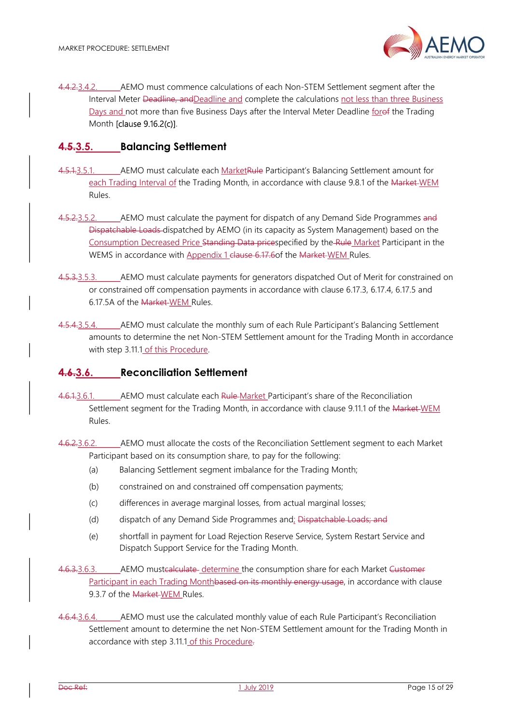4.4.2.3.4.2. AEMO must commence calculations of each Non-STEM Settlement segment after the Interval Meter Deadline, andDeadline and complete the calculations not less than three Business Days and not more than five Business Days after the Interval Meter Deadline forof the Trading Month [clause 9.16.2(c)].

#### 4.5.3.5. Balancing Settlement

- 4.5.1.3.5.1. AEMO must calculate each MarketRule Participant's Balancing Settlement amount for each Trading Interval of the Trading Month, in accordance with clause 9.8.1 of the Market-WEM Rules.
- 4.5.2.3.5.2. AEMO must calculate the payment for dispatch of any Demand Side Programmes and Dispatchable Loads dispatched by AEMO (in its capacity as System Management) based on the Consumption Decreased Price Standing Data pricespecified by the Rule Market Participant in the WEMS in accordance with Appendix 1 clause 6.17.6 of the Market WEM Rules.
- 4.5.3.5.3. AEMO must calculate payments for generators dispatched Out of Merit for constrained on or constrained off compensation payments in accordance with clause 6.17.3, 6.17.4, 6.17.5 and 6.17.5A of the Market WEM Rules.
- 4.5.4.3.5.4. AEMO must calculate the monthly sum of each Rule Participant's Balancing Settlement amounts to determine the net Non-STEM Settlement amount for the Trading Month in accordance with step 3.11.1 of this Procedure.

#### 4.6.3.6. Reconciliation Settlement

- 4.6.1.3.6.1. AEMO must calculate each Rule Market Participant's share of the Reconciliation Settlement segment for the Trading Month, in accordance with clause 9.11.1 of the Market WEM Rules.
- 4.6.2.3.6.2. AEMO must allocate the costs of the Reconciliation Settlement segment to each Market Participant based on its consumption share, to pay for the following:
	- (a) Balancing Settlement segment imbalance for the Trading Month;
	- (b) constrained on and constrained off compensation payments;
	- (c) differences in average marginal losses, from actual marginal losses;
	- (d) dispatch of any Demand Side Programmes and; Dispatchable Loads; and
	- (e) shortfall in payment for Load Rejection Reserve Service, System Restart Service and Dispatch Support Service for the Trading Month.
- 4.6.3.3.6.3. AEMO mustcalculate determine the consumption share for each Market Customer Participant in each Trading Monthbased on its monthly energy usage, in accordance with clause 9.3.7 of the Market-WEM Rules.
- 4.6.4.3.6.4. AEMO must use the calculated monthly value of each Rule Participant's Reconciliation Settlement amount to determine the net Non-STEM Settlement amount for the Trading Month in accordance with step 3.11.1 of this Procedure.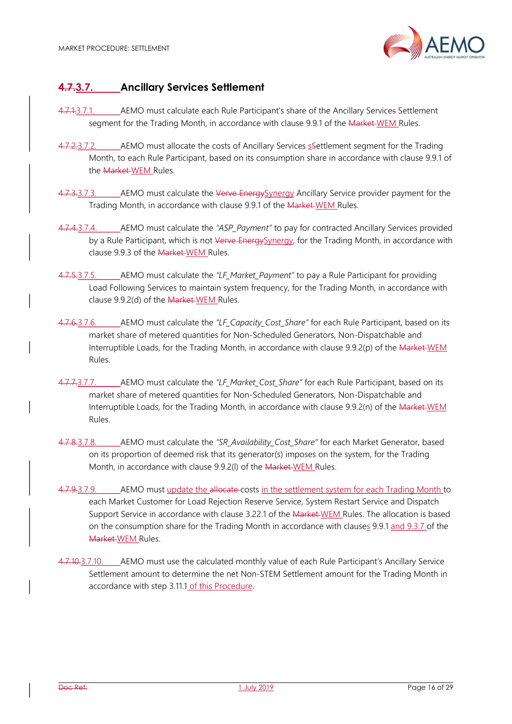

# 4.7.3.7. Ancillary Services Settlement

- 4.7.1.3.7.1. AEMO must calculate each Rule Participant's share of the Ancillary Services Settlement segment for the Trading Month, in accordance with clause 9.9.1 of the Market-WEM Rules.
- 4.7.2.3.7.2. AEMO must allocate the costs of Ancillary Services s Settlement segment for the Trading Month, to each Rule Participant, based on its consumption share in accordance with clause 9.9.1 of the Market WEM Rules.
- 4.7.3.3.7.3. AEMO must calculate the Verve Energy Synergy Ancillary Service provider payment for the Trading Month, in accordance with clause 9.9.1 of the Market WEM Rules.
- 4.7.4.3.7.4. AEMO must calculate the "ASP Payment" to pay for contracted Ancillary Services provided by a Rule Participant, which is not Verve EnergySynergy, for the Trading Month, in accordance with clause 9.9.3 of the Market WEM Rules.
- 4.7.5.3.7.5. AEMO must calculate the "LF\_Market\_Payment" to pay a Rule Participant for providing Load Following Services to maintain system frequency, for the Trading Month, in accordance with clause 9.9.2(d) of the Market WEM Rules.
- 4.7.6.3.7.6. AEMO must calculate the "LF Capacity Cost Share" for each Rule Participant, based on its market share of metered quantities for Non-Scheduled Generators, Non-Dispatchable and Interruptible Loads, for the Trading Month, in accordance with clause 9.9.2(p) of the Market WEM Rules.
- 4.7.7.3.7.7. AEMO must calculate the "LF\_Market\_Cost\_Share" for each Rule Participant, based on its market share of metered quantities for Non-Scheduled Generators, Non-Dispatchable and Interruptible Loads, for the Trading Month, in accordance with clause 9.9.2(n) of the Market WEM Rules.
- 4.7.8.3.7.8. AEMO must calculate the "SR\_Availability\_Cost\_Share" for each Market Generator, based on its proportion of deemed risk that its generator(s) imposes on the system, for the Trading Month, in accordance with clause 9.9.2(l) of the Market WEM Rules.
- 4.7.9.3.7.9. AEMO must update the allocate-costs in the settlement system for each Trading Month to each Market Customer for Load Rejection Reserve Service, System Restart Service and Dispatch Support Service in accordance with clause 3.22.1 of the Market WEM Rules. The allocation is based on the consumption share for the Trading Month in accordance with clauses 9.9.1 and 9.3.7 of the Market WEM Rules.
- 4.7.10.3.7.10. AEMO must use the calculated monthly value of each Rule Participant's Ancillary Service Settlement amount to determine the net Non-STEM Settlement amount for the Trading Month in accordance with step 3.11.1 of this Procedure.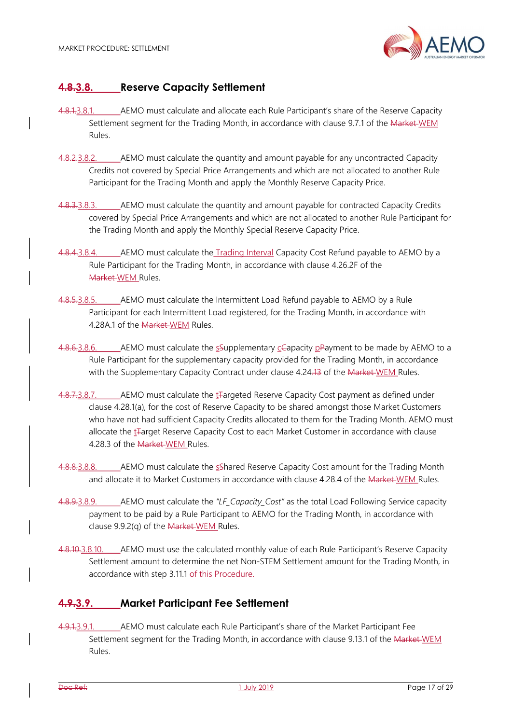

# 4.8.3.8. Reserve Capacity Settlement

- 4.8.1.3.8.1. AEMO must calculate and allocate each Rule Participant's share of the Reserve Capacity Settlement segment for the Trading Month, in accordance with clause 9.7.1 of the Market WEM Rules.
- 4.8.2.3.8.2. AEMO must calculate the quantity and amount payable for any uncontracted Capacity Credits not covered by Special Price Arrangements and which are not allocated to another Rule Participant for the Trading Month and apply the Monthly Reserve Capacity Price.
- 4.8.3.3.8.3. AEMO must calculate the quantity and amount payable for contracted Capacity Credits covered by Special Price Arrangements and which are not allocated to another Rule Participant for the Trading Month and apply the Monthly Special Reserve Capacity Price.
- 4.8.4.3.8.4. AEMO must calculate the Trading Interval Capacity Cost Refund payable to AEMO by a Rule Participant for the Trading Month, in accordance with clause 4.26.2F of the Market WEM Rules.
- 4.8.5.3.8.5. AEMO must calculate the Intermittent Load Refund payable to AEMO by a Rule Participant for each Intermittent Load registered, for the Trading Month, in accordance with 4.28A.1 of the Market WEM Rules.
- 4.8.6.3.8.6. AEMO must calculate the  $\frac{1}{2}$ Supplementary  $\frac{1}{2}$ Capacity  $\frac{1}{2}$ Payment to be made by AEMO to a Rule Participant for the supplementary capacity provided for the Trading Month, in accordance with the Supplementary Capacity Contract under clause 4.24.13 of the Market-WEM Rules.
- 4.8.7.3.8.7. AEMO must calculate the t<sub>re</sub>argeted Reserve Capacity Cost payment as defined under clause 4.28.1(a), for the cost of Reserve Capacity to be shared amongst those Market Customers who have not had sufficient Capacity Credits allocated to them for the Trading Month. AEMO must allocate the t<sub>Target</sub> Reserve Capacity Cost to each Market Customer in accordance with clause 4.28.3 of the Market WEM Rules.
- 4.8.8.3.8.8. AEMO must calculate the sShared Reserve Capacity Cost amount for the Trading Month and allocate it to Market Customers in accordance with clause 4.28.4 of the Market-WEM Rules.
- 4.8.9.3.8.9. AEMO must calculate the "LF\_Capacity\_Cost" as the total Load Following Service capacity payment to be paid by a Rule Participant to AEMO for the Trading Month, in accordance with clause 9.9.2(q) of the Market WEM Rules.
- 4.8.10.3.8.10. AEMO must use the calculated monthly value of each Rule Participant's Reserve Capacity Settlement amount to determine the net Non-STEM Settlement amount for the Trading Month, in accordance with step 3.11.1 of this Procedure.

# 4.9.3.9. Market Participant Fee Settlement

4.9.1.3.9.1. AEMO must calculate each Rule Participant's share of the Market Participant Fee Settlement segment for the Trading Month, in accordance with clause 9.13.1 of the Market WEM Rules.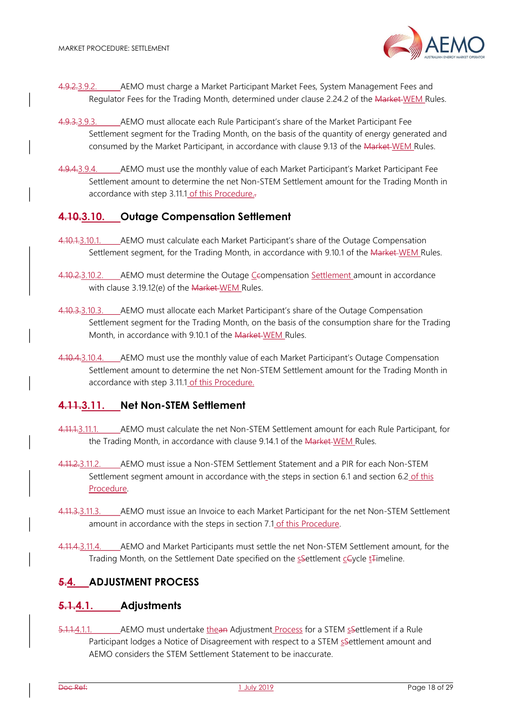

- 4.9.2.3.9.2. AEMO must charge a Market Participant Market Fees, System Management Fees and Regulator Fees for the Trading Month, determined under clause 2.24.2 of the Market WEM Rules.
- 4.9.3.3.9.3. AEMO must allocate each Rule Participant's share of the Market Participant Fee Settlement segment for the Trading Month, on the basis of the quantity of energy generated and consumed by the Market Participant, in accordance with clause 9.13 of the Market WEM Rules.
- 4.9.4.3.9.4. AEMO must use the monthly value of each Market Participant's Market Participant Fee Settlement amount to determine the net Non-STEM Settlement amount for the Trading Month in accordance with step 3.11.1 of this Procedure..

# 4.10.3.10. Outage Compensation Settlement

- 4.10.1.3.10.1. AEMO must calculate each Market Participant's share of the Outage Compensation Settlement segment, for the Trading Month, in accordance with 9.10.1 of the Market WEM Rules.
- 4.10.2.3.10.2. AEMO must determine the Outage Ceompensation Settlement amount in accordance with clause 3.19.12(e) of the Market-WEM Rules.
- 4.10.3.3.10.3. AEMO must allocate each Market Participant's share of the Outage Compensation Settlement segment for the Trading Month, on the basis of the consumption share for the Trading Month, in accordance with 9.10.1 of the Market-WEM Rules.
- 4.10.4.3.10.4. AEMO must use the monthly value of each Market Participant's Outage Compensation Settlement amount to determine the net Non-STEM Settlement amount for the Trading Month in accordance with step 3.11.1 of this Procedure.

## 4.11.3.11. Net Non-STEM Settlement

- 4.11.1.3.11.1. AEMO must calculate the net Non-STEM Settlement amount for each Rule Participant, for the Trading Month, in accordance with clause 9.14.1 of the Market WEM Rules.
- 4.11.2.3.11.2. AEMO must issue a Non-STEM Settlement Statement and a PIR for each Non-STEM Settlement segment amount in accordance with the steps in section 6.1 and section 6.2 of this Procedure.
- 4.11.3.3.11.3. AEMO must issue an Invoice to each Market Participant for the net Non-STEM Settlement amount in accordance with the steps in section 7.1 of this Procedure.
- 4.11.4.3.11.4. AEMO and Market Participants must settle the net Non-STEM Settlement amount, for the Trading Month, on the Settlement Date specified on the sSettlement cCycle t<sub>rimeline</sub>.

# 5.4. ADJUSTMENT PROCESS

## 5.1.4.1. Adjustments

5.1.1.4.1.1. AEMO must undertake thean Adjustment Process for a STEM sSettlement if a Rule Participant lodges a Notice of Disagreement with respect to a STEM sSettlement amount and AEMO considers the STEM Settlement Statement to be inaccurate.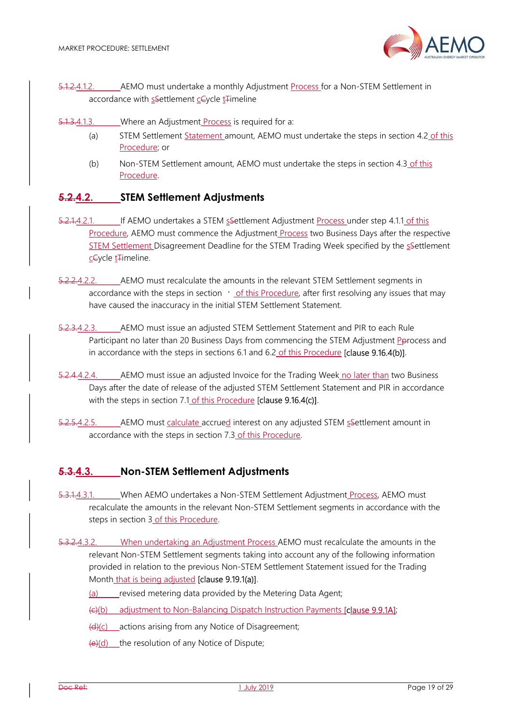

- 5.1.2.4.1.2. AEMO must undertake a monthly Adjustment Process for a Non-STEM Settlement in accordance with sSettlement cCycle t<sub>Timeline</sub>
- 5.1.3.4.1.3. Where an Adjustment Process is required for a:
	- (a) STEM Settlement Statement amount, AEMO must undertake the steps in section 4.2 of this Procedure; or
	- (b) Non-STEM Settlement amount, AEMO must undertake the steps in section 4.3 of this Procedure.

# 5.2.4.2. STEM Settlement Adjustments

- 5.2.1.4.2.1. If AEMO undertakes a STEM sSettlement Adjustment Process under step 4.1.1 of this Procedure, AEMO must commence the Adjustment Process two Business Days after the respective STEM Settlement Disagreement Deadline for the STEM Trading Week specified by the sesettlement cCycle tTimeline.
- 5.2.2.4.2.2. AEMO must recalculate the amounts in the relevant STEM Settlement segments in accordance with the steps in section  $\cdot$  of this Procedure, after first resolving any issues that may have caused the inaccuracy in the initial STEM Settlement Statement.
- 5.2.3.4.2.3. AEMO must issue an adjusted STEM Settlement Statement and PIR to each Rule Participant no later than 20 Business Days from commencing the STEM Adjustment Pprocess and in accordance with the steps in sections 6.1 and 6.2 of this Procedure [clause 9.16.4(b)].
- 5.2.4.4.2.4. AEMO must issue an adjusted Invoice for the Trading Week no later than two Business Days after the date of release of the adjusted STEM Settlement Statement and PIR in accordance with the steps in section 7.1 of this Procedure [clause 9.16.4(c)].
- 5.2.5.4.2.5. AEMO must calculate accrued interest on any adjusted STEM ssettlement amount in accordance with the steps in section 7.3 of this Procedure.

# 5.3.4.3. Non-STEM Settlement Adjustments

- 5.3.1.4.3.1. When AEMO undertakes a Non-STEM Settlement Adjustment Process, AEMO must recalculate the amounts in the relevant Non-STEM Settlement segments in accordance with the steps in section 3 of this Procedure.
- 5.3.2.4.3.2. When undertaking an Adjustment Process AEMO must recalculate the amounts in the relevant Non-STEM Settlement segments taking into account any of the following information provided in relation to the previous Non-STEM Settlement Statement issued for the Trading Month that is being adjusted **[clause 9.19.1(a)]**.
	- (a) revised metering data provided by the Metering Data Agent;

(c)(b) adjustment to Non-Balancing Dispatch Instruction Payments [clause 9.9.1A];

- (d)(c) actions arising from any Notice of Disagreement;
- $(e)(d)$  the resolution of any Notice of Dispute;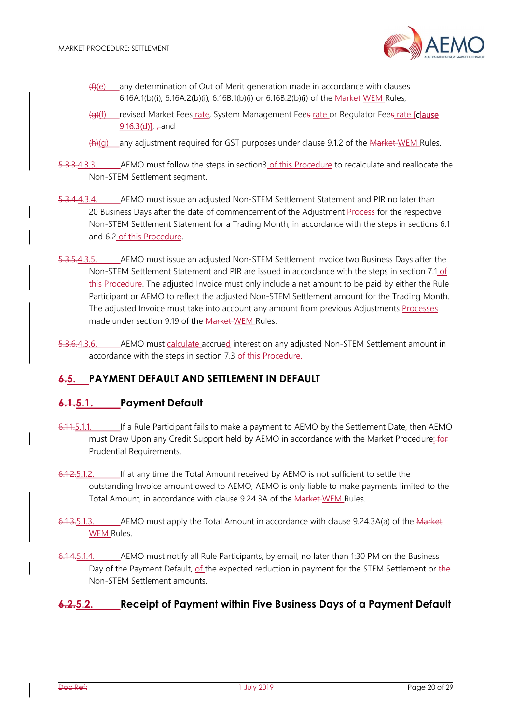

- $(f)(e)$  any determination of Out of Merit generation made in accordance with clauses 6.16A.1(b)(i), 6.16A.2(b)(i), 6.16B.1(b)(i) or 6.16B.2(b)(i) of the Market WEM Rules;
- (g)(f) revised Market Fees rate, System Management Fees rate or Regulator Fees rate [clause]  $9.16.3(d)$ ];  $\div$ and
- $(h)(q)$  any adjustment required for GST purposes under clause 9.1.2 of the Market-WEM Rules.
- 5.3.3.4.3.3. AEMO must follow the steps in section3 of this Procedure to recalculate and reallocate the Non-STEM Settlement segment.
- 5.3.4.4.3.4. AEMO must issue an adjusted Non-STEM Settlement Statement and PIR no later than 20 Business Days after the date of commencement of the Adjustment Process for the respective Non-STEM Settlement Statement for a Trading Month, in accordance with the steps in sections 6.1 and 6.2 of this Procedure.
- 5.3.5.4.3.5. AEMO must issue an adjusted Non-STEM Settlement Invoice two Business Days after the Non-STEM Settlement Statement and PIR are issued in accordance with the steps in section 7.1 of this Procedure. The adjusted Invoice must only include a net amount to be paid by either the Rule Participant or AEMO to reflect the adjusted Non-STEM Settlement amount for the Trading Month. The adjusted Invoice must take into account any amount from previous Adjustments Processes made under section 9.19 of the Market WEM Rules.
- 5.3.6.4.3.6. AEMO must calculate accrued interest on any adjusted Non-STEM Settlement amount in accordance with the steps in section 7.3 of this Procedure.

# 6.5. PAYMENT DEFAULT AND SETTLEMENT IN DEFAULT

# 6.1.5.1. Payment Default

- 6.1.1.5.1.1. If a Rule Participant fails to make a payment to AEMO by the Settlement Date, then AEMO must Draw Upon any Credit Support held by AEMO in accordance with the Market Procedure: for Prudential Requirements.
- 6.1.2.5.1.2. If at any time the Total Amount received by AEMO is not sufficient to settle the outstanding Invoice amount owed to AEMO, AEMO is only liable to make payments limited to the Total Amount, in accordance with clause 9.24.3A of the Market WEM Rules.
- 6.1.3.5.1.3. AEMO must apply the Total Amount in accordance with clause 9.24.3A(a) of the Market WEM Rules.
- 6.1.4.5.1.4. AEMO must notify all Rule Participants, by email, no later than 1:30 PM on the Business Day of the Payment Default, of the expected reduction in payment for the STEM Settlement or the Non-STEM Settlement amounts.

# 6.2.5.2. Receipt of Payment within Five Business Days of a Payment Default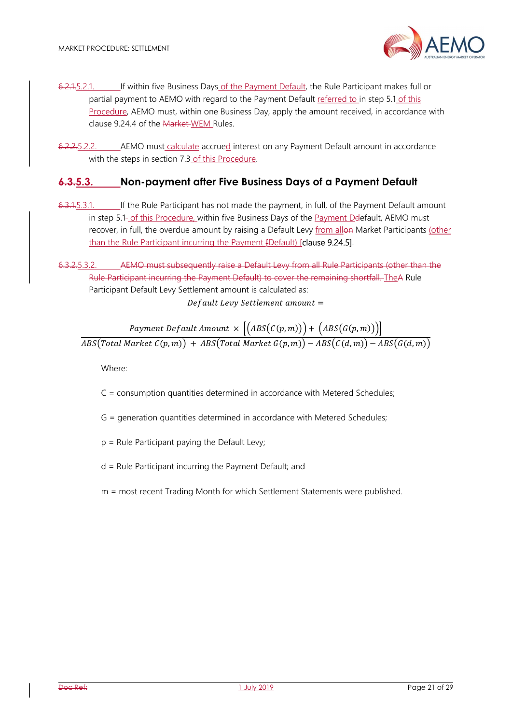

6.2.1.5.2.1. If within five Business Days of the Payment Default, the Rule Participant makes full or partial payment to AEMO with regard to the Payment Default referred to in step 5.1 of this Procedure, AEMO must, within one Business Day, apply the amount received, in accordance with clause 9.24.4 of the Market-WEM Rules.

6.2.2.5.2.2. AEMO must calculate accrued interest on any Payment Default amount in accordance with the steps in section 7.3 of this Procedure.

## 6.3.5.3. Non-payment after Five Business Days of a Payment Default

- 6.3.1.5.3.1. If the Rule Participant has not made the payment, in full, of the Payment Default amount in step 5.1- of this Procedure, within five Business Days of the Payment Deefault, AEMO must recover, in full, the overdue amount by raising a Default Levy from allon Market Participants (other than the Rule Participant incurring the Payment [Default) [clause 9.24.5].
- 6.3.2.5.3.2. AEMO must subsequently raise a Default Levy from all Rule Participants (other than the Rule Participant incurring the Payment Default) to cover the remaining shortfall. TheA Rule Participant Default Levy Settlement amount is calculated as:

Default Levy Settlement amount =

Payment Default Amount  $\times \left| \left( ABS(C(p,m)) \right) + \left( ABS(G(p,m)) \right) \right|$  $\overline{ABS\big(Total\ Market\ C(p,m)\big)+ABS\big(Total\ Market\ G(p,m)\big)-ABS\big(C(d,m)\big)-ABS\big(G(d,m)\big)}$ 

Where:

C = consumption quantities determined in accordance with Metered Schedules;

- G = generation quantities determined in accordance with Metered Schedules;
- p = Rule Participant paying the Default Levy;
- d = Rule Participant incurring the Payment Default; and
- m = most recent Trading Month for which Settlement Statements were published.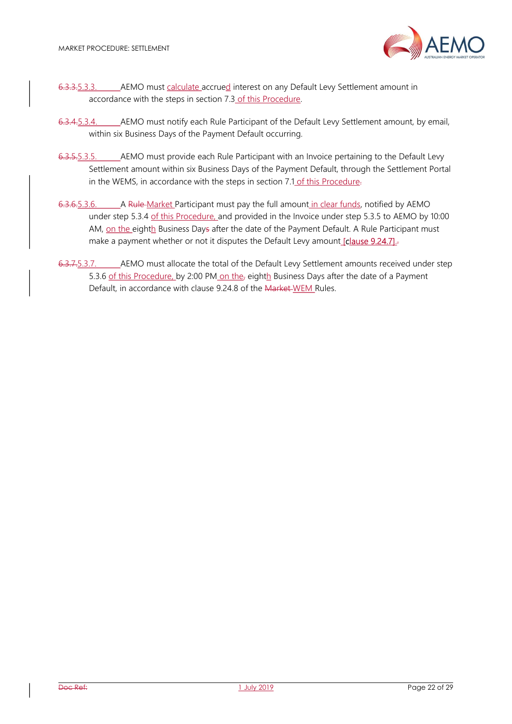

- 6.3.3.5.3.3. AEMO must calculate accrued interest on any Default Levy Settlement amount in accordance with the steps in section 7.3 of this Procedure.
- 6.3.4.5.3.4. AEMO must notify each Rule Participant of the Default Levy Settlement amount, by email, within six Business Days of the Payment Default occurring.
- 6.3.5.5.3.5. AEMO must provide each Rule Participant with an Invoice pertaining to the Default Levy Settlement amount within six Business Days of the Payment Default, through the Settlement Portal in the WEMS, in accordance with the steps in section 7.1 of this Procedure-
- 6.3.6.5.3.6. A Rule Market Participant must pay the full amount in clear funds, notified by AEMO under step 5.3.4 of this Procedure, and provided in the Invoice under step 5.3.5 to AEMO by 10:00 AM, on the eighth Business Days after the date of the Payment Default. A Rule Participant must make a payment whether or not it disputes the Default Levy amount [clause 9.24.7].
- 6.3.7.5.3.7. AEMO must allocate the total of the Default Levy Settlement amounts received under step 5.3.6 of this Procedure, by 2:00 PM on the, eighth Business Days after the date of a Payment Default, in accordance with clause 9.24.8 of the Market WEM Rules.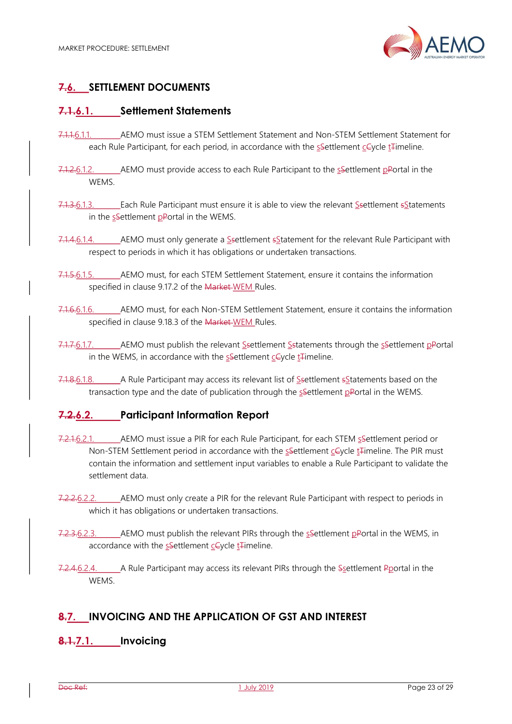

# 7.6. SETTLEMENT DOCUMENTS

# 7.1.6.1. Settlement Statements

- 7.1.1.6.1.1. AEMO must issue a STEM Settlement Statement and Non-STEM Settlement Statement for each Rule Participant, for each period, in accordance with the ssettlement ceycle t<sub>rimeline</sub>.
- 7.1.2.6.1.2. AEMO must provide access to each Rule Participant to the ssettlement pPortal in the **WFMS**
- 7.1.3.6.1.3. Each Rule Participant must ensure it is able to view the relevant Ssettlement sStatements in the sSettlement pPortal in the WEMS.
- 7.1.4.6.1.4. AEMO must only generate a Ssettlement sStatement for the relevant Rule Participant with respect to periods in which it has obligations or undertaken transactions.
- 7.1.5.6.1.5. AEMO must, for each STEM Settlement Statement, ensure it contains the information specified in clause 9.17.2 of the Market WEM Rules.
- 7.1.6.6.1.6. AEMO must, for each Non-STEM Settlement Statement, ensure it contains the information specified in clause 9.18.3 of the Market-WEM Rules.
- 7.1.7.6.1.7. AEMO must publish the relevant Ssettlement Sstatements through the sSettlement pPortal in the WEMS, in accordance with the ssettlement  $c\in\text{vcle}$  to timeline.
- 7.1.8.6.1.8. A Rule Participant may access its relevant list of Ssettlement s Statements based on the transaction type and the date of publication through the settlement pPortal in the WEMS.

# 7.2.6.2. Participant Information Report

- 7.2.1.6.2.1. AEMO must issue a PIR for each Rule Participant, for each STEM ssettlement period or Non-STEM Settlement period in accordance with the ssettlement cevcle t<sub>rimeline</sub>. The PIR must contain the information and settlement input variables to enable a Rule Participant to validate the settlement data.
- 7.2.2.6.2.2. AEMO must only create a PIR for the relevant Rule Participant with respect to periods in which it has obligations or undertaken transactions.
- 7.2.3.6.2.3. AEMO must publish the relevant PIRs through the ssettlement pPortal in the WEMS, in accordance with the sSettlement cCycle t<sub>Timeline</sub>.
- 7.2.4.6.2.4. A Rule Participant may access its relevant PIRs through the Ssettlement Pportal in the **WEMS**

# 8.7. INVOICING AND THE APPLICATION OF GST AND INTEREST

# 8.1.7.1. Invoicing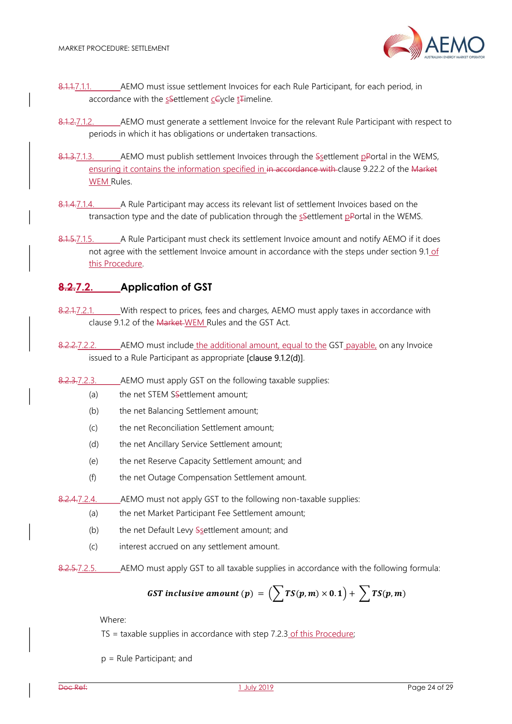

- 8.1.1.7.1.1. AEMO must issue settlement Invoices for each Rule Participant, for each period, in accordance with the sSettlement cCycle t<sub>Timeline</sub>.
- 8.1.2.7.1.2. AEMO must generate a settlement Invoice for the relevant Rule Participant with respect to periods in which it has obligations or undertaken transactions.
- 8.1.3.7.1.3. AEMO must publish settlement Invoices through the Ssettlement pPortal in the WEMS, ensuring it contains the information specified in in accordance with clause 9.22.2 of the Market WEM Rules.
- 8.1.4.7.1.4. A Rule Participant may access its relevant list of settlement Invoices based on the transaction type and the date of publication through the ssettlement pPortal in the WEMS.
- 8.1.5.7.1.5. A Rule Participant must check its settlement Invoice amount and notify AEMO if it does not agree with the settlement Invoice amount in accordance with the steps under section 9.1 of this Procedure.

# 8.2.7.2. Application of GST

- 8.2.1.7.2.1. With respect to prices, fees and charges, AEMO must apply taxes in accordance with clause 9.1.2 of the Market WEM Rules and the GST Act.
- 8.2.2.7.2.2. AEMO must include the additional amount, equal to the GST payable, on any Invoice issued to a Rule Participant as appropriate [clause 9.1.2(d)].
- 8.2.3.7.2.3. AEMO must apply GST on the following taxable supplies:
	- (a) the net STEM Ssettlement amount;
	- (b) the net Balancing Settlement amount;
	- (c) the net Reconciliation Settlement amount;
	- (d) the net Ancillary Service Settlement amount;
	- (e) the net Reserve Capacity Settlement amount; and
	- (f) the net Outage Compensation Settlement amount.

8.2.4.7.2.4. AEMO must not apply GST to the following non-taxable supplies:

- (a) the net Market Participant Fee Settlement amount;
- (b) the net Default Levy  $S_{\text{S}}$ ettlement amount; and
- (c) interest accrued on any settlement amount.
- 8.2.5.7.2.5. AEMO must apply GST to all taxable supplies in accordance with the following formula:

**GST** inclusive amount (p) = 
$$
(\sum TS(p,m) \times 0.1) + \sum TS(p,m)
$$

Where:

 $TS =$  taxable supplies in accordance with step 7.2.3 of this Procedure;

p = Rule Participant; and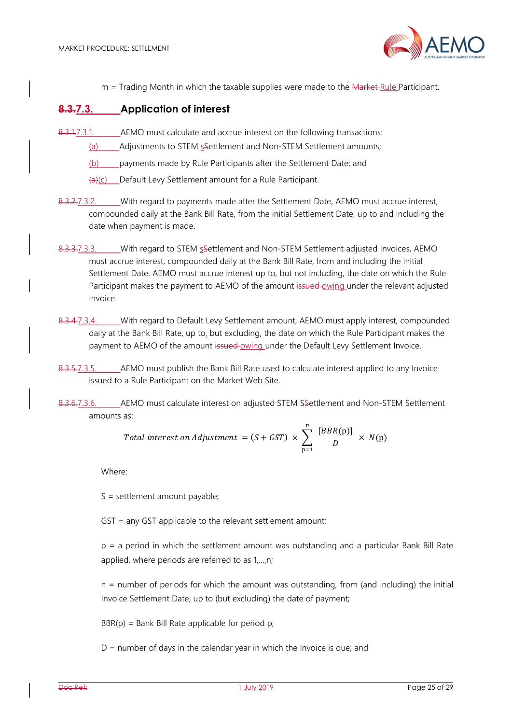

 $m =$  Trading Month in which the taxable supplies were made to the  $M$ arket-Rule Participant.

## 8.3.7.3. Application of interest

- 8.3.1.7.3.1. AEMO must calculate and accrue interest on the following transactions:
	- (a) Adjustments to STEM sSettlement and Non-STEM Settlement amounts;
	- (b) payments made by Rule Participants after the Settlement Date; and
	- (a)(c) Default Levy Settlement amount for a Rule Participant.
- 8.3.2.7.3.2. With regard to payments made after the Settlement Date, AEMO must accrue interest, compounded daily at the Bank Bill Rate, from the initial Settlement Date, up to and including the date when payment is made.
- 8.3.3.7.3.3. With regard to STEM s Settlement and Non-STEM Settlement adjusted Invoices, AEMO must accrue interest, compounded daily at the Bank Bill Rate, from and including the initial Settlement Date. AEMO must accrue interest up to, but not including, the date on which the Rule Participant makes the payment to AEMO of the amount issued owing under the relevant adjusted Invoice.
- 8.3.4.7.3.4. With regard to Default Levy Settlement amount, AEMO must apply interest, compounded daily at the Bank Bill Rate, up to, but excluding, the date on which the Rule Participant makes the payment to AEMO of the amount issued-owing under the Default Levy Settlement Invoice.
- 8.3.5.7.3.5. AEMO must publish the Bank Bill Rate used to calculate interest applied to any Invoice issued to a Rule Participant on the Market Web Site.
- 8.3.6.7.3.6. AEMO must calculate interest on adjusted STEM Settlement and Non-STEM Settlement amounts as:

Total interest on Adjustument = 
$$
(S + GST) \times \sum_{p=1}^{n} \frac{[BBR(p)]}{D} \times N(p)
$$

Where:

S = settlement amount payable;

GST = any GST applicable to the relevant settlement amount;

p = a period in which the settlement amount was outstanding and a particular Bank Bill Rate applied, where periods are referred to as 1,…,n;

n = number of periods for which the amount was outstanding, from (and including) the initial Invoice Settlement Date, up to (but excluding) the date of payment;

 $BBR(p) = Bank Bill Rate applicable for period p;$ 

 $D =$  number of days in the calendar year in which the Invoice is due; and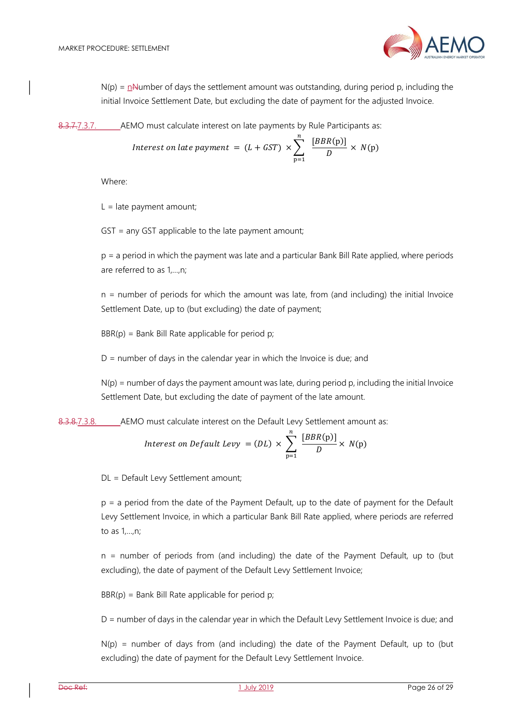$N(p) = n$ Number of days the settlement amount was outstanding, during period p, including the initial Invoice Settlement Date, but excluding the date of payment for the adjusted Invoice.

8.3.7.7.3.7. AEMO must calculate interest on late payments by Rule Participants as:

Interest on late payment = 
$$
(L + GST) \times \sum_{p=1}^{n} \frac{[BBR(p)]}{D} \times N(p)
$$

Where:

 $L =$  late payment amount;

GST = any GST applicable to the late payment amount;

p = a period in which the payment was late and a particular Bank Bill Rate applied, where periods are referred to as 1,…,n;

n = number of periods for which the amount was late, from (and including) the initial Invoice Settlement Date, up to (but excluding) the date of payment;

 $BBR(p) = Bank Bill Rate applicable for period p;$ 

 $D =$  number of days in the calendar year in which the Invoice is due; and

 $N(p)$  = number of days the payment amount was late, during period p, including the initial Invoice Settlement Date, but excluding the date of payment of the late amount.

8.3.8.7.3.8. AEMO must calculate interest on the Default Levy Settlement amount as:

Interest on *Default Levy* = 
$$
(DL) \times \sum_{p=1}^{n} \frac{[BBR(p)]}{D} \times N(p)
$$

DL = Default Levy Settlement amount;

p = a period from the date of the Payment Default, up to the date of payment for the Default Levy Settlement Invoice, in which a particular Bank Bill Rate applied, where periods are referred to as 1,…,n;

n = number of periods from (and including) the date of the Payment Default, up to (but excluding), the date of payment of the Default Levy Settlement Invoice;

 $BBR(p) = Bank Bill Rate applicable for period p;$ 

D = number of days in the calendar year in which the Default Levy Settlement Invoice is due; and

 $N(p)$  = number of days from (and including) the date of the Payment Default, up to (but excluding) the date of payment for the Default Levy Settlement Invoice.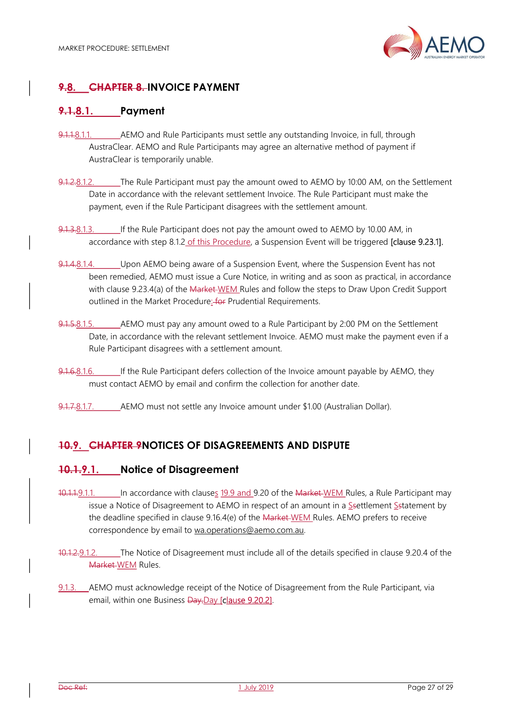

# 9.8. CHAPTER 8. INVOICE PAYMENT

# 9.1.8.1. Payment

- 9.1.1.8.1.1. AEMO and Rule Participants must settle any outstanding Invoice, in full, through AustraClear. AEMO and Rule Participants may agree an alternative method of payment if AustraClear is temporarily unable.
- 9.1.2.8.1.2. The Rule Participant must pay the amount owed to AEMO by 10:00 AM, on the Settlement Date in accordance with the relevant settlement Invoice. The Rule Participant must make the payment, even if the Rule Participant disagrees with the settlement amount.
- 9.1.3.8.1.3. If the Rule Participant does not pay the amount owed to AEMO by 10.00 AM, in accordance with step 8.1.2 of this Procedure, a Suspension Event will be triggered [clause 9.23.1].
- 9.1.4.8.1.4. Upon AEMO being aware of a Suspension Event, where the Suspension Event has not been remedied, AEMO must issue a Cure Notice, in writing and as soon as practical, in accordance with clause 9.23.4(a) of the Market WEM Rules and follow the steps to Draw Upon Credit Support outlined in the Market Procedure: for Prudential Requirements.
- 9.1.5.8.1.5. AEMO must pay any amount owed to a Rule Participant by 2:00 PM on the Settlement Date, in accordance with the relevant settlement Invoice. AEMO must make the payment even if a Rule Participant disagrees with a settlement amount.
- 9.1.6.8.1.6. If the Rule Participant defers collection of the Invoice amount payable by AEMO, they must contact AEMO by email and confirm the collection for another date.
- 9.1.7.8.1.7. AEMO must not settle any Invoice amount under \$1.00 (Australian Dollar).

# 10.9. CHAPTER 9NOTICES OF DISAGREEMENTS AND DISPUTE

## 10.1.9.1. Notice of Disagreement

- 10.1.1.9.1.1. In accordance with clauses 19.9 and 9.20 of the Market-WEM Rules, a Rule Participant may issue a Notice of Disagreement to AEMO in respect of an amount in a Ssettlement Sstatement by the deadline specified in clause 9.16.4(e) of the Market WEM Rules. AEMO prefers to receive correspondence by email to wa.operations@aemo.com.au.
- 10.1.2.9.1.2. The Notice of Disagreement must include all of the details specified in clause 9.20.4 of the Market WEM Rules.
- 9.1.3. AEMO must acknowledge receipt of the Notice of Disagreement from the Rule Participant, via email, within one Business Day.Day [clause 9.20.2].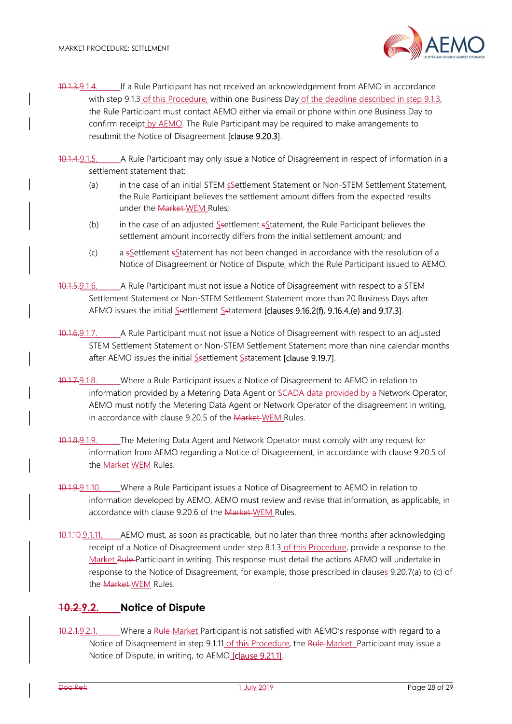

10.1.3.9.1.4. If a Rule Participant has not received an acknowledgement from AEMO in accordance with step 9.1.3 of this Procedure, within one Business Day of the deadline described in step 9.1.3, the Rule Participant must contact AEMO either via email or phone within one Business Day to confirm receipt by AEMO. The Rule Participant may be required to make arrangements to resubmit the Notice of Disagreement [clause 9.20.3].

10.1.4.9.1.5. A Rule Participant may only issue a Notice of Disagreement in respect of information in a settlement statement that:

- (a) in the case of an initial STEM sSettlement Statement or Non-STEM Settlement Statement, the Rule Participant believes the settlement amount differs from the expected results under the Market WEM Rules;
- (b) in the case of an adjusted Ssettlement sStatement, the Rule Participant believes the settlement amount incorrectly differs from the initial settlement amount; and
- (c) a sSettlement sStatement has not been changed in accordance with the resolution of a Notice of Disagreement or Notice of Dispute, which the Rule Participant issued to AEMO.
- 10.1.5.9.1.6. A Rule Participant must not issue a Notice of Disagreement with respect to a STEM Settlement Statement or Non-STEM Settlement Statement more than 20 Business Days after AEMO issues the initial Ssettlement Sstatement [clauses 9.16.2(f), 9.16.4.(e) and 9.17.3].
- 10.1.6.9.1.7. A Rule Participant must not issue a Notice of Disagreement with respect to an adjusted STEM Settlement Statement or Non-STEM Settlement Statement more than nine calendar months after AEMO issues the initial Ssettlement Sstatement [clause 9.19.7].
- 10.1.7.9.1.8. Where a Rule Participant issues a Notice of Disagreement to AEMO in relation to information provided by a Metering Data Agent or SCADA data provided by a Network Operator, AEMO must notify the Metering Data Agent or Network Operator of the disagreement in writing, in accordance with clause 9.20.5 of the Market WEM Rules.
- 10.1.8.9.1.9. The Metering Data Agent and Network Operator must comply with any request for information from AEMO regarding a Notice of Disagreement, in accordance with clause 9.20.5 of the Market WEM Rules.
- 10.1.9.9.1.10. Where a Rule Participant issues a Notice of Disagreement to AEMO in relation to information developed by AEMO, AEMO must review and revise that information, as applicable, in accordance with clause 9.20.6 of the Market WEM Rules.
- 10.1.10.9.1.11. AEMO must, as soon as practicable, but no later than three months after acknowledging receipt of a Notice of Disagreement under step 8.1.3 of this Procedure, provide a response to the Market Rule Participant in writing. This response must detail the actions AEMO will undertake in response to the Notice of Disagreement, for example, those prescribed in clauses 9.20.7(a) to (c) of the Market WEM Rules.

# 10.2.9.2. Notice of Dispute

10.2.1.9.2.1. Where a Rule-Market Participant is not satisfied with AEMO's response with regard to a Notice of Disagreement in step 9.1.11 of this Procedure, the Rule Market Participant may issue a Notice of Dispute, in writing, to AEMO [clause 9.21.1].